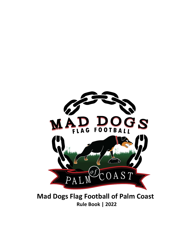

**Mad Dogs Flag Football of Palm Coast Rule Book | 2022**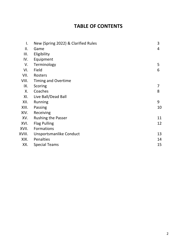# **TABLE OF CONTENTS**

| $\mathbf{I}$ . | New (Spring 2022) & Clarified Rules | 3  |
|----------------|-------------------------------------|----|
| II.            |                                     | 4  |
|                | Game                                |    |
| III.           | Eligibility                         |    |
| IV.            | Equipment                           |    |
| V.             | Terminology                         | 5  |
| VI.            | Field                               | 6  |
| VII.           | Rosters                             |    |
| VIII.          | <b>Timing and Overtime</b>          |    |
| IX.            | Scoring                             | 7  |
| Χ.             | Coaches                             | 8  |
| XI.            | Live Ball/Dead Ball                 |    |
| XII.           | Running                             | 9  |
| XIII.          | Passing                             | 10 |
| XIV.           | Receiving                           |    |
| XV.            | <b>Rushing the Passer</b>           | 11 |
| XVI.           | <b>Flag Pulling</b>                 | 12 |
| XVII.          | Formations                          |    |
| XVIII.         | Unsportsmanlike Conduct             | 13 |
| XIX.           | Penalties                           | 14 |
| XX.            | <b>Special Teams</b>                | 15 |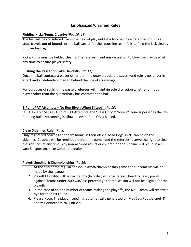### **Emphasized/Clarified Rules**

#### **Fielding Kicks/Punts Cleanly:** *(Pgs 15, 16)*

The ball will be considered live in the field of play until it is touched by a defender, rolls to a stop, travels out of bounds or the ball carrier for the returning team fails to field the kick cleanly or loses his flag.

Kicks/Punts must be fielded cleanly. The referee maintains discretion to blow the play dead at any time to ensure player safety

#### **Rushing the Passer on Fake Handoffs:** *(Pg 11)*

Once the ball contacts a player other than the quarterback, the seven-yard rule is no longer in effect and all defenders may go behind the line of scrimmage.

For purposes of rushing the passer, referees will maintain sole discretion whether or not a player other than the quarterback has contacted the ball.

#### **1-Point PAT Attempts = No Run (Even When Blitzed):** *(Pg 10)*

(10U, 12U & 15U) On 1-Point PAT Attempts, the "Pass Only"/"No-Run" zone supersedes the QB-Running Rule. No running is allowed, even if the QB is blitzed.

#### **Clean Sidelines Rule:** *(Pg 8)*

Only registered coaches and team moms in their official Mad Dogs shirts can be on the sidelines. Coaches will be reminded before the game, and the referees reserve the right to clear the sidelines at any time. Any non-allowed adults or children on the sideline will result in a 15 yard Unsportsmanlike Conduct penalty.

#### **Playoff Seeding & Championships** *(Pg 16)*

- 1. At the end of the regular season, playoff/championship game announcements will be made by the league.
- 2. Playoff Eligibility will be decided by (In order) win-loss record, head to head, points against. Teams under .500 win/loss percentage for the season will not be eligible for the playoffs.
- 3. In the case of an odd number of teams making the playoffs, the No. 1 team will receive a bye for the first round.
- 4. Please Note: The playoff seedings automatically generated on MadDogsFootball.net & Sports Connect are NOT official.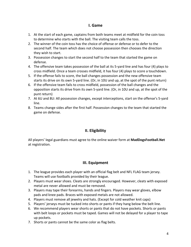#### **I. Game**

- 1. At the start of each game, captains from both teams meet at midfield for the coin toss to determine who starts with the ball. The visiting team calls the toss.
- 2. The winner of the coin toss has the choice of offense or defense or to defer to the second half. The team which does not choose possession then chooses the direction they wish to start.
- 3. Possession changes to start the second half to the team that started the game on defense.
- 4. The offensive team takes possession of the ball at its 5-yard line and has four (4) plays to cross midfield. Once a team crosses midfield, it has four (4) plays to score a touchdown.
- 5. If the offense fails to score, the ball changes possession and the new offensive team starts its drive on its own 5-yard line. (Or, in 10U and up, at the spot of the punt return)
- 6. If the offensive team fails to cross midfield, possession of the ball changes and the opposition starts its drive from its own 5-yard line. (Or, in 10U and up, at the spot of the punt return)
- 7. At 6U and 8U: All possession changes, except interceptions, start on the offense's 5-yard line.
- 8. Teams change sides after the first half. Possession changes to the team that started the game on defense.

# **II. Eligibility**

All players' legal guardians must agree to the online waiver form at **MadDogsFootball.Net**  at registration.

# **III. Equipment**

- 1. The league provides each player with an official flag belt and NFL FLAG team jersey. Teams will use footballs provided by their league.
- 2. Players must wear shoes. Cleats are strongly encouraged. However, cleats with exposed metal are never allowed and must be removed.
- 3. Players may tape their forearms, hands and fingers. Players may wear gloves, elbow pads and knee pads. Braces with exposed metals are not allowed.
- 4. Players must remove all jewelry and hats. (Except for cold weather knit caps)
- 5. Players' jerseys must be tucked into shorts or pants if they hang below the belt line.
- 6. We recommend players wear shorts or pants that do not have pockets. Shorts or pants with belt loops or pockets must be taped. Games will not be delayed for a player to tape up pockets.
- 7. Shorts or pants cannot be the same color as flag belts.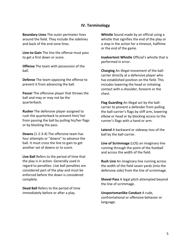#### **IV. Terminology**

**Boundary Lines** The outer perimeter lines around the field. They include the sidelines and back of the end zone lines.

**Line-to-Gain** The line the offense must pass to get a first down or score.

**Offense** The team with possession of the ball.

**Defense** The team opposing the offense to prevent it from advancing the ball.

**Passer** The offensive player that throws the ball and may or may not be the quarterback.

**Rusher** The defensive player assigned to rush the quarterback to prevent him/ her from passing the ball by pulling his/her flags or by blocking the pass.

**Downs** (1-2-3-4) The offensive team has four attempts or "downs" to advance the ball. It must cross the line to gain to get another set of downs or to score.

**Live Ball** Refers to the period of time that the play is in action. Generally used in regard to penalties. Live ball penalties are considered part of the play and must be enforced before the down is considered complete.

**Dead Ball** Refers to the period of time immediately before or after a play.

**Whistle** Sound made by an official using a whistle that signifies the end of the play or a stop in the action for a timeout, halftime or the end of the game.

**Inadvertent Whistle** Official's whistle that is performed in error.

**Charging** An illegal movement of the ballcarrier directly at a defensive player who has established position on the field. This includes lowering the head or initiating contact with a shoulder, forearm or the chest.

**Flag Guarding** An illegal act by the ballcarrier to prevent a defender from pulling the ball-carrier's flags by stiff arm, lowering elbow or head or by blocking access to the runner's flags with a hand or arm.

**Lateral** A backward or sideway toss of the ball by the ball-carrier.

**Line of Scrimmage** (LOS) an imaginary line running through the point of the football and across the width of the field.

**Rush Line** An imaginary line running across the width of the field seven yards (into the defensive side) from the line of scrimmage.

**Shovel Pass** A legal pitch attempted beyond the line of scrimmage.

**Unsportsmanlike Conduct** A rude, confrontational or offensive behavior or language.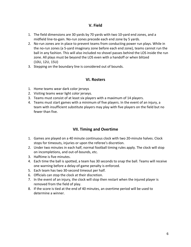#### **V. Field**

- 1. The field dimensions are 30 yards by 70 yards with two 10-yard end zones, and a midfield line-to-gain. No-run zones precede each end zone by 5 yards.
- 2. No-run zones are in place to prevent teams from conducting power run plays. While in the no-run zones (a 5-yard imaginary zone before each end zone), teams cannot run the ball in any fashion. This will also included no shovel passes behind the LOS inside the run zone. All plays must be beyond the LOS even with a handoff or when blitzed (10U, 12U, 15U)
- 3. Stepping on the boundary line is considered out of bounds.

#### **VI. Rosters**

- 1. Home teams wear dark color jerseys
- 2. Visiting teams wear light color jerseys.
- 3. Teams must consist of at least six players with a maximum of 14 players.
- 4. Teams must start games with a minimum of five players. In the event of an injury, a team with insufficient substitute players may play with five players on the field but no fewer than five.

### **VII. Timing and Overtime**

- 1. Games are played on a 40 minute continuous clock with two 20-minute halves. Clock stops for timeouts, injuries or upon the referee's discretion.
- 2. Under two minutes in each half, normal football timing rules apply. The clock will stop on incompletions, and out-of-bounds, etc.
- 3. Halftime is five minutes.
- 4. Each time the ball is spotted, a team has 30 seconds to snap the ball. Teams will receive one warning before a delay-of-game penalty is enforced.
- 5. Each team has two 30-second timeout per half.
- 6. Officials can stop the clock at their discretion.
- 7. In the event of an injury, the clock will stop then restart when the injured player is removed from the field of play.
- 8. If the score is tied at the end of 40 minutes, an overtime period will be used to determine a winner.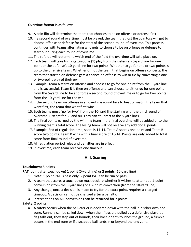#### **Overtime format** is as follows:

- 9. A coin flip will determine the team that chooses to be on offense or defense first.
- 10. If a second round of overtime must be played, the team that lost the coin toss will get to choose offense or defense for the start of the second round of overtime. This process continues with teams alternating who gets to choose to be on offense or defense to start out during each round of overtime.
- 11. The referee will determine which end of the field the overtime will take place on.
- 12. Each team will take turns getting one (1) play from the defense's 5-yard line for one point or the defense's 10-yard line for two points. Whether to go for one or two points is up to the offensive team. Whether or not the team that begins on offense converts, the team that started on defense gets a chance on offense to win or tie by converting a oneor two-point play of their own.
- 13. Example: Team A starts on offense and chooses to go for one point from the 5-yard line and is successful. Team B is then on offense and can choose to either go for one point from the 5-yard line to tie and force a second round of overtime or to go for two points from the 10-yard line for the win.
- 14. If the second team on offense in an overtime round fails to beat or match the team that went first, the team that went first wins.
- 15. Both teams must "go for two" from the 10-yard line starting with the third round of overtime. (Except for 6u and 8u. They can still start at the 5 yard line).
- 16. The final points earned by the winning team in the final overtime will be added onto the winning team's total score. The losing team will not receive any additional points.
- 17. Example: End of regulation time, score is 14-14. Team A scores one point and Team B score two points. Team B wins with a final score of 16-14. Points are only added to total score from final round of overtime.
- 18. All regulation period rules and penalties are in effect.
- 19. In overtime, each team receives one timeout

### **VIII. Scoring**

#### **Touchdown:** 6 points

**PAT** (point after touchdown) **1 point** (5-yard line) or **2 points** (10-yard line)

- 1. Note: 1 point PAT is pass only; 2 point PAT can be run or pass.
- 2. A team that scores a touchdown must declare whether it wishes to attempt a 1-point conversion (from the 5-yard line) or a 2-point conversion (from the 10-yard line).
- 3. Any change, once a decision is made to try for the extra point, requires a charged timeout. A decision cannot be changed after a penalty.
- 4. Interceptions on ALL conversions can be returned for 2 points.

#### **Safety:** 2 points

a. A safety occurs when the ball-carrier is declared down with the ball in his/her own end zone. Runners can be called down when their flags are pulled by a defensive player, a flag falls out, they step out of bounds, their knee or arm touches the ground, a fumble occurs in the end zone or if a snapped ball lands in or beyond the end zone.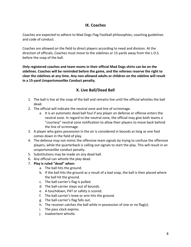### **IX. Coaches**

Coaches are expected to adhere to Mad Dogs Flag Football philosophies, coaching guidelines and code of conduct.

Coaches are allowed on the field to direct players according to need and division. At the direction of officials, Coaches must move to the sidelines or 15-yards away from the L.O.S. before the snap of the ball.

**Only registered coaches and team moms in their official Mad Dogs shirts can be on the sidelines. Coaches will be reminded before the game, and the referees reserve the right to clear the sidelines at any time. Any non-allowed adults or children on the sideline will result in a 15-yard Unsportsmanlike Conduct penalty.** 

## **X. Live Ball/Dead Ball**

- 1. The ball is live at the snap of the ball and remains live until the official whistles the ball dead.
- 2. The official will indicate the neutral zone and line of scrimmage.
	- a. It is an automatic dead ball foul if any player on defense or offense enters the neutral zone. In regard to the neutral zone, the official may give both teams a "courtesy" neutral zone notification to allow their players to move back behind the line of scrimmage.
- 3. A player who gains possession in the air is considered in bounds as long as one foot comes down in the field of play.
- 4. The defense may not mimic the offensive team signals by trying to confuse the offensive players, while the quarterback is calling out signals to start the play. This will result in an unsportsmanlike conduct penalty.
- 5. Substitutions may be made on any dead ball.
- 6. Any official can whistle the play dead.
- 7. **Play is ruled "dead" when:**
	- a. The ball hits the ground.
	- b. If the ball hits the ground as a result of a bad snap, the ball is then placed where the ball hit the ground.
	- c. The ball-carrier's flag is pulled.
	- d. The ball-carrier steps out of bounds.
	- e. A touchdown, PAT or safety is scored.
	- f. The ball-carrier's knee or arm hits the ground.
	- g. The ball-carrier's flag falls out.
	- h. The receiver catches the ball while in possession of one or no flag(s).
	- i. The pass clock expires.
	- j. Inadvertent whistle.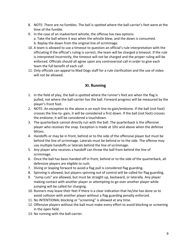- 8. NOTE: There are no fumbles. The ball is spotted where the ball-carrier's feet were at the time of the fumble.
- 9. In the case of an inadvertent whistle, the offense has two options: a. Take the ball where it was when the whistle blew, and the down is consumed. b. Replay the down from the original line of scrimmage.
- 10. A team is allowed to use a timeout to question an official's rule interpretation with the officiating If the official's ruling is correct, the team will be charged a timeout. If the rule is interpreted incorrectly, the timeout will not be charged and the proper ruling will be enforced. Officials should all agree upon any controversial call in order to give each team the full benefit of each call.
- 11. Only officials can appeal to Mad Dogs staff for a rule clarification and the use of video will not be allowed.

# **XI. Running**

- 1. In the field of play, the ball is spotted where the runner's feet are when the flag is pulled, not where the ball-carrier has the ball. Forward progress will be measured by the player's front foot.
- 2. NOTE: An exception to the above is on each line-to-gain/endzone. If the ball (not foot) crosses the line-to- gain, it will be considered a first down. If the ball (not foot) crosses the endzone, it will be considered a touchdown.
- 3. The quarterback cannot directly run with the ball. The quarterback is the offensive player who receives the snap. Exception is made at 10U and above when the defense blitzes.
- 4. Handoffs or may be in front, behind or to the side of the offensive player but must be behind the line of scrimmage. Laterals must be behind or to the side. The offense may use multiple handoffs or laterals behind the line of scrimmage.
- 5. Any player who receives a handoff can throw the ball from behind the line of scrimmage.
- 6. Once the ball has been handed off in front, behind or to the side of the quarterback, all defensive players are eligible to rush.
- 7. Diving or leaping forward to avoid a flag pull is considered flag guarding.
- 8. Spinning is allowed, but players spinning out of control will be called for flag guarding.
- 9. "Jump cuts" are allowed, but must be straight up, backward, or laterally. Any player making contact with another player or attempting to go over another player while jumping will be called for charging.
- 10. Runners may leave their feet if there is a clear indication that he/she has done so to avoid collision with another player without a flag guarding penalty enforced.
- 11. No INTENTIONAL blocking or "screening" is allowed at any time.
- 12. Offensive players without the ball must make every effort to avoid blocking or screening in the open field.
- 13. No running with the ball-carrier.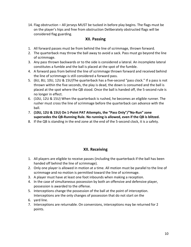14. Flag obstruction – All jerseys MUST be tucked in before play begins. The flags must be on the player's hips and free from obstruction Deliberately obstructed flags will be considered flag guarding.

### **XII. Passing**

- 1. All forward passes must be from behind the line of scrimmage, thrown forward.
- 2. The quarterback may throw the ball away to avoid a sack. Pass must go beyond the line of scrimmage.
- 3. Any pass thrown backwards or to the side is considered a lateral. An incomplete lateral constitutes a fumble and the ball is placed at the spot of the fumble.
- 4. A forward pass from behind the line of scrimmage thrown forward and received behind the line of scrimmage is still considered a forward pass.
- 5. (6U, 8U, 10U, 12U & 15U)The quarterback has a five-second "pass clock." If a pass is not thrown within the five seconds, the play is dead, the down is consumed and the ball is placed at the spot where the QB stood. Once the ball is handed off, the 5-second rule is no longer in effect.
- 6. (10U, 12U & 15U) When the quarterback is rushed, he becomes an eligible runner. The rusher must cross the line of scrimmage before the quarterback can advance with the ball.
- 7. **(10U, 12U & 15U) On 1-Point PAT Attempts, the "Pass Only"/"No-Run" zone supersedes the QB-Running Rule. No running is allowed, even if the QB is blitzed.**
- 8. If the QB is standing in the end zone at the end of the 5-second clock, it is a safety.

### **XII. Receiving**

- 1. All players are eligible to receive passes (including the quarterback if the ball has been handed off behind the line of scrimmage).
- 2. Only one player is allowed in motion at a time. All motion must be parallel to the line of scrimmage and no motion is permitted toward the line of scrimmage.
- 3. A player must have at least one foot inbounds when making a reception.
- 4. In the case of simultaneous possession by both an offensive and defensive player, possession is awarded to the offense.
- 5. Interceptions change the possession of the ball at the point of interception. Interceptions are the only changes of possession that do not start on the
- 6. yard line.
- 7. Interceptions are returnable. On conversions, interceptions may be returned for 2 points.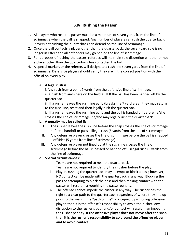### **XIV. Rushing the Passer**

- 1. All players who rush the passer must be a minimum of seven yards from the line of scrimmage when the ball is snapped. Any number of players can rush the quarterback. Players not rushing the quarterback can defend on the line of scrimmage.
- 2. Once the ball contacts a player other than the quarterback, the seven-yard rule is no longer in effect and all defenders may go behind the line of scrimmage.
- 3. For purposes of rushing the passer, referees will maintain sole discretion whether or not a player other than the quarterback has contacted the ball.
- 4. A special marker, or the referee, will designate a rush line seven yards from the line of scrimmage. Defensive players should verify they are in the correct position with the official on every play.

#### a. **A legal rush is:**

i. Any rush from a point 7 yards from the defensive line of scrimmage.

ii. A rush from anywhere on the field AFTER the ball has been handed off by the quarterback.

iii. If a rusher leaves the rush line early (breaks the 7 yard area), they may return to the rush line, reset and then legally rush the quarterback.

iv. If a rusher leaves the rush line early and the ball is handed off before he/she crosses the line of scrimmage, he/she may legally rush the quarterback.

#### **b. A penalty may be called if:**

- I. The rusher leaves the rush line before the snap crosses the line of scrimmage before a handoff or pass – illegal rush (5 yards from the line of scrimmage.
- II. Any defensive player crosses the line of scrimmage before the ball is snapped – offsides (5 yards from line of scrimmage)
- III. Any defensive player not lined up at the rush line crosses the line of scrimmage before the ball is passed or handed off – illegal rush (5 yards from the line of scrimmage)

#### **c. Special circumstances:**

- i. Teams are not required to rush the quarterback
- ii. Teams are not required to identify their rusher before the play.
- iii. Players rushing the quarterback may attempt to block a pass; however, NO contact can be made with the quarterback in any way. Blocking the pass or attempting to block the pass and then making contact with the passer will result in a roughing the passer penalty.
- iv. The offense cannot impede the rusher in any way. The rusher has the right to a clear path to the quarterback, regardless of where they line up prior to the snap. If the "path or line" is occupied by a moving offensive player, then it is the offense's responsibility to avoid the rusher. Any disruption to the rusher's path and/or contact will result in an impeding the rusher penalty. **If the offensive player does not move after the snap, then it is the rusher's responsibility to go around the offensive player and to avoid contact.**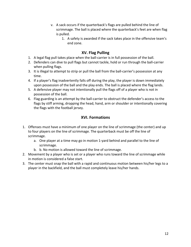- v. A sack occurs if the quarterback's flags are pulled behind the line of scrimmage. The ball is placed where the quarterback's feet are when flag is pulled.
	- 1. A safety is awarded if the sack takes place in the offensive team's end zone.

### **XV. Flag Pulling**

- 1. A legal flag pull takes place when the ball-carrier is in full possession of the ball.
- 2. Defenders can dive to pull flags but cannot tackle, hold or run through the ball-carrier when pulling flags.
- 3. It is illegal to attempt to strip or pull the ball from the ball-carrier's possession at any time.
- 4. If a player's flag inadvertently falls off during the play, the player is down immediately upon possession of the ball and the play ends. The ball is placed where the flag lands.
- 5. A defensive player may not intentionally pull the flags off of a player who is not in possession of the ball.
- 6. Flag guarding is an attempt by the ball-carrier to obstruct the defender's access to the flags by stiff arming, dropping the head, hand, arm or shoulder or intentionally covering the flags with the football jersey.

# **XVI. Formations**

- 1. Offenses must have a minimum of one player on the line of scrimmage (the center) and up to four players on the line of scrimmage. The quarterback must be off the line of scrimmage.
	- a. One player at a time may go in motion 1-yard behind and parallel to the line of scrimmage.
	- b. b. No motion is allowed toward the line of scrimmage.
- 2. Movement by a player who is set or a player who runs toward the line of scrimmage while in motion is considered a false start.
- 3. The center must snap the ball with a rapid and continuous motion between his/her legs to a player in the backfield, and the ball must completely leave his/her hands.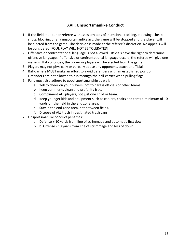## **XVII. Unsportsmanlike Conduct**

- 1. If the field monitor or referee witnesses any acts of intentional tackling, elbowing, cheap shots, blocking or any unsportsmanlike act, the game will be stopped and the player will be ejected from the game. The decision is made at the referee's discretion. No appeals will be considered. FOUL PLAY WILL NOT BE TOLERATED!
- 2. Offensive or confrontational language is not allowed. Officials have the right to determine offensive language. If offensive or confrontational language occurs, the referee will give one warning. If it continues, the player or players will be ejected from the game.
- 3. Players may not physically or verbally abuse any opponent, coach or official.
- 4. Ball-carriers MUST make an effort to avoid defenders with an established position.
- 5. Defenders are not allowed to run through the ball-carrier when pulling flags.
- 6. Fans must also adhere to good sportsmanship as well:
	- a. Yell to cheer on your players, not to harass officials or other teams.
	- b. Keep comments clean and profanity free.
	- c. Compliment ALL players, not just one child or team.
	- d. Keep younger kids and equipment such as coolers, chairs and tents a minimum of 10 yards off the field in the end zone area.
	- e. Stay in the end zone area, not between fields.
	- f. Dispose of ALL trash in designated trash cans.
- 7. Unsportsmanlike conduct penalties:
	- a. Defense + 10 yards from line of scrimmage and automatic first down
	- b. b. Offense 10 yards from line of scrimmage and loss of down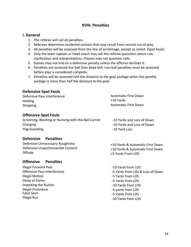#### **XVIII. Penalties**

#### **i. General**

- 1. The referee will call all penalties.
- 2. Referees determine incidental contact that may result from normal run of play.
- 3. All penalties will be assessed from the line of scrimmage, except as noted. (Spot fouls)
- 4. Only the team captain or head coach may ask the referee questions about rule clarification and interpretations. Players may not question calls.
- 5. Games may not end on a defensive penalty unless the offense declines it.
- 6. Penalties are assessed live ball then dead ball. Live ball penalties must be assessed before play is considered complete.
- 7. Penalties will be assessed half the distance to the goal yardage when the penalty yardage is more than half the distance to the goal.

### **Defensive Spot Fouls**

| Defensive Pass Interference | <b>Automatic First Down</b> |
|-----------------------------|-----------------------------|
| Holding                     | +10 Yards                   |
| Stripping                   | <b>Automatic First Down</b> |

#### **Offensive Spot Fouls**

| Screening, Blocking or Running with the Ball Carrier | -10 Yards and Loss of Down |
|------------------------------------------------------|----------------------------|
| Charging                                             | -10 Yards and Loss of Down |
| Flag Guarding                                        | -10 Yard Loss              |

### **Defensive Penalties**

Defensive Unnecessary Roughness Defensive Unsportsmanlike Content **Offside** 

### **Offensive Penalties**

Illegal Forward Pass Offensive Pass Interference Illegal Motion Delay of Game Impeding the Rusher Illegal Procedure False Start Illegal Run

+10 Yards & Automatic First Down +10 Yards & Automatic First Down +5 Yards From LOS

-10 Yards from LOS -5 Yards from LOS & Loss of Down -5 Yards from LOS -5 Yards from LOS -10 Yards from LOS -5 yards from LOS -5 Yards from LOS -10 Yards from LOS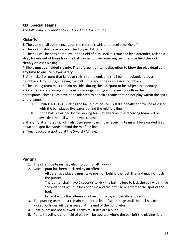### **XIX. Special Teams**

*The following only applies to 10U, 12U and 15U Games* 

# **Kickoffs**

1. The game shall commence upon the referee's whistle to begin the kickoff.

2. The kickoff shall take place at the 10-yard PAT line

3. The ball will be considered live in the field of play until it is touched by a defender, rolls to a stop, travels out of bounds or the ball carrier for the returning team **fails to field the kick cleanly** or loses his flag.

#### 4. **Kicks must be fielded cleanly. The referee maintains discretion to blow the play dead at any time to ensure player safety**

5. Any kickoff or punt that lands or rolls into the endzone shall be immediately ruled a touchback. Grounding/Kneeling the ball in the end zone results in a touchback.

6. The kicking team must remain on sides during the kick/punt or be subject to a penalty.

7. Coaches are encouraged to develop kicking/punting and receiving skills in the

participants. These rules have been adapted to penalize teams that do not play within the spirit of the game.

- I. UNINTENTIONAL kicking the ball out of bounds is still a penalty and will be assessed with the ball placed five yards behind the midfield line.
- II. If the ball is touched by the kicking team at any time, the receiving team will be awarded the ball where it was touched.

8. If a fairly attempted kickoff fails to go seven yards, the receiving team will be awarded first down at a spot five yards behind the midfield line.

9. Touchbacks are spotted at the 5-yard PAT line.

### **Punting**

- 1. The offensive team may elect to punt on 4th down.
- 2. Once a punt has been declared by an offense:
	- I. All defensive players must take position behind the rush line and may not rush the punter.
	- II. The punter shall have 5 seconds to kick the ball, failure to kick the ball within five seconds shall result in loss of down and the offense will start at the spot of the foul.
	- III. False start by the offense shall result in a 5-yard penalty and re-punt.
- 3. The punting team must remain behind the line of scrimmage until the ball has been kicked. Offsides will be assessed at the end of the punt return.
- 4. Fake punts are not allowed. Teams must declare a punt.
- 5. Punts traveling out of field of play will be spotted where the ball left the playing field.